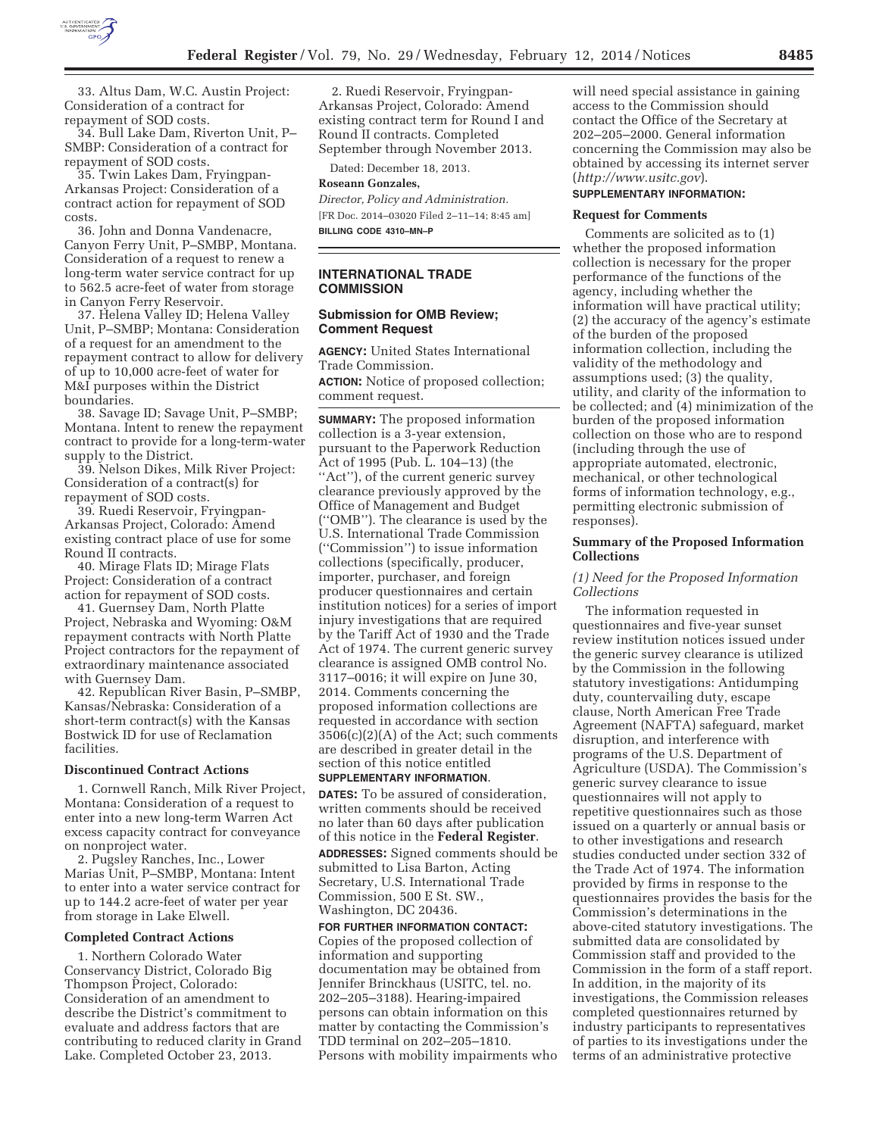

33. Altus Dam, W.C. Austin Project: Consideration of a contract for repayment of SOD costs.

34. Bull Lake Dam, Riverton Unit, P– SMBP: Consideration of a contract for repayment of SOD costs.

35. Twin Lakes Dam, Fryingpan-Arkansas Project: Consideration of a contract action for repayment of SOD costs.

36. John and Donna Vandenacre, Canyon Ferry Unit, P–SMBP, Montana. Consideration of a request to renew a long-term water service contract for up to 562.5 acre-feet of water from storage in Canyon Ferry Reservoir.

37. Helena Valley ID; Helena Valley Unit, P–SMBP; Montana: Consideration of a request for an amendment to the repayment contract to allow for delivery of up to 10,000 acre-feet of water for M&I purposes within the District boundaries.

38. Savage ID; Savage Unit, P–SMBP; Montana. Intent to renew the repayment contract to provide for a long-term-water supply to the District.

39. Nelson Dikes, Milk River Project: Consideration of a contract(s) for repayment of SOD costs.

39. Ruedi Reservoir, Fryingpan-Arkansas Project, Colorado: Amend existing contract place of use for some Round II contracts.

40. Mirage Flats ID; Mirage Flats Project: Consideration of a contract action for repayment of SOD costs.

41. Guernsey Dam, North Platte Project, Nebraska and Wyoming: O&M repayment contracts with North Platte Project contractors for the repayment of extraordinary maintenance associated with Guernsey Dam.

42. Republican River Basin, P–SMBP, Kansas/Nebraska: Consideration of a short-term contract(s) with the Kansas Bostwick ID for use of Reclamation facilities.

#### **Discontinued Contract Actions**

1. Cornwell Ranch, Milk River Project, Montana: Consideration of a request to enter into a new long-term Warren Act excess capacity contract for conveyance on nonproject water.

2. Pugsley Ranches, Inc., Lower Marias Unit, P–SMBP, Montana: Intent to enter into a water service contract for up to 144.2 acre-feet of water per year from storage in Lake Elwell.

#### **Completed Contract Actions**

1. Northern Colorado Water Conservancy District, Colorado Big Thompson Project, Colorado: Consideration of an amendment to describe the District's commitment to evaluate and address factors that are contributing to reduced clarity in Grand Lake. Completed October 23, 2013.

2. Ruedi Reservoir, Fryingpan-Arkansas Project, Colorado: Amend existing contract term for Round I and Round II contracts. Completed September through November 2013.

Dated: December 18, 2013.

**Roseann Gonzales,**  *Director, Policy and Administration.*  [FR Doc. 2014–03020 Filed 2–11–14; 8:45 am]

**BILLING CODE 4310–MN–P** 

# **INTERNATIONAL TRADE COMMISSION**

## **Submission for OMB Review; Comment Request**

**AGENCY:** United States International Trade Commission.

**ACTION:** Notice of proposed collection; comment request.

**SUMMARY:** The proposed information collection is a 3-year extension, pursuant to the Paperwork Reduction Act of 1995 (Pub. L. 104–13) (the ''Act''), of the current generic survey clearance previously approved by the Office of Management and Budget (''OMB''). The clearance is used by the U.S. International Trade Commission (''Commission'') to issue information collections (specifically, producer, importer, purchaser, and foreign producer questionnaires and certain institution notices) for a series of import injury investigations that are required by the Tariff Act of 1930 and the Trade Act of 1974. The current generic survey clearance is assigned OMB control No. 3117–0016; it will expire on June 30, 2014. Comments concerning the proposed information collections are requested in accordance with section 3506(c)(2)(A) of the Act; such comments are described in greater detail in the section of this notice entitled **SUPPLEMENTARY INFORMATION**.

**DATES:** To be assured of consideration, written comments should be received no later than 60 days after publication of this notice in the **Federal Register**. **ADDRESSES:** Signed comments should be submitted to Lisa Barton, Acting Secretary, U.S. International Trade Commission, 500 E St. SW., Washington, DC 20436.

**FOR FURTHER INFORMATION CONTACT:**  Copies of the proposed collection of information and supporting documentation may be obtained from Jennifer Brinckhaus (USITC, tel. no. 202–205–3188). Hearing-impaired persons can obtain information on this matter by contacting the Commission's TDD terminal on 202–205–1810. Persons with mobility impairments who will need special assistance in gaining access to the Commission should contact the Office of the Secretary at 202–205–2000. General information concerning the Commission may also be obtained by accessing its internet server (*http://www.usitc.gov*).

## **SUPPLEMENTARY INFORMATION:**

#### **Request for Comments**

Comments are solicited as to (1) whether the proposed information collection is necessary for the proper performance of the functions of the agency, including whether the information will have practical utility; (2) the accuracy of the agency's estimate of the burden of the proposed information collection, including the validity of the methodology and assumptions used; (3) the quality, utility, and clarity of the information to be collected; and (4) minimization of the burden of the proposed information collection on those who are to respond (including through the use of appropriate automated, electronic, mechanical, or other technological forms of information technology, e.g., permitting electronic submission of responses).

### **Summary of the Proposed Information Collections**

### *(1) Need for the Proposed Information Collections*

The information requested in questionnaires and five-year sunset review institution notices issued under the generic survey clearance is utilized by the Commission in the following statutory investigations: Antidumping duty, countervailing duty, escape clause, North American Free Trade Agreement (NAFTA) safeguard, market disruption, and interference with programs of the U.S. Department of Agriculture (USDA). The Commission's generic survey clearance to issue questionnaires will not apply to repetitive questionnaires such as those issued on a quarterly or annual basis or to other investigations and research studies conducted under section 332 of the Trade Act of 1974. The information provided by firms in response to the questionnaires provides the basis for the Commission's determinations in the above-cited statutory investigations. The submitted data are consolidated by Commission staff and provided to the Commission in the form of a staff report. In addition, in the majority of its investigations, the Commission releases completed questionnaires returned by industry participants to representatives of parties to its investigations under the terms of an administrative protective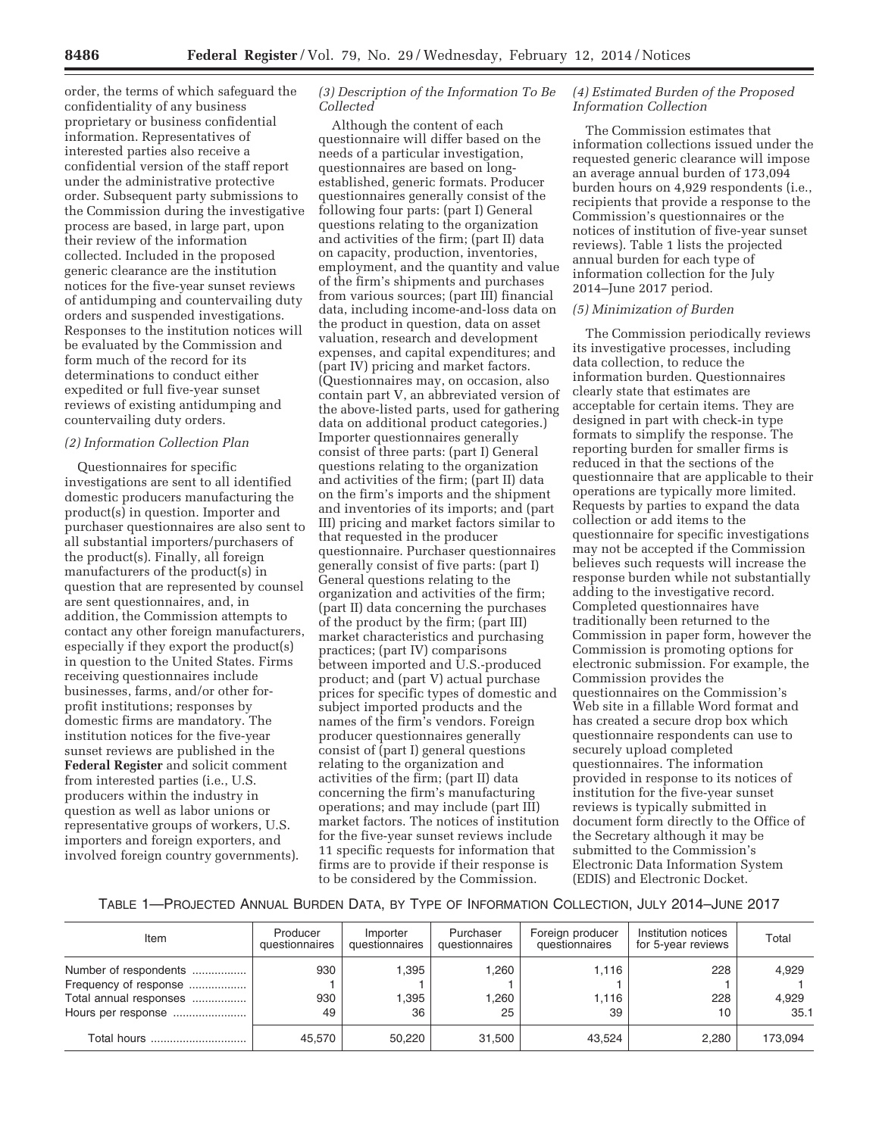order, the terms of which safeguard the confidentiality of any business proprietary or business confidential information. Representatives of interested parties also receive a confidential version of the staff report under the administrative protective order. Subsequent party submissions to the Commission during the investigative process are based, in large part, upon their review of the information collected. Included in the proposed generic clearance are the institution notices for the five-year sunset reviews of antidumping and countervailing duty orders and suspended investigations. Responses to the institution notices will be evaluated by the Commission and form much of the record for its determinations to conduct either expedited or full five-year sunset reviews of existing antidumping and countervailing duty orders.

### *(2) Information Collection Plan*

Questionnaires for specific investigations are sent to all identified domestic producers manufacturing the product(s) in question. Importer and purchaser questionnaires are also sent to all substantial importers/purchasers of the product(s). Finally, all foreign manufacturers of the product(s) in question that are represented by counsel are sent questionnaires, and, in addition, the Commission attempts to contact any other foreign manufacturers, especially if they export the product(s) in question to the United States. Firms receiving questionnaires include businesses, farms, and/or other forprofit institutions; responses by domestic firms are mandatory. The institution notices for the five-year sunset reviews are published in the **Federal Register** and solicit comment from interested parties (i.e., U.S. producers within the industry in question as well as labor unions or representative groups of workers, U.S. importers and foreign exporters, and involved foreign country governments).

### *(3) Description of the Information To Be Collected*

Although the content of each questionnaire will differ based on the needs of a particular investigation, questionnaires are based on longestablished, generic formats. Producer questionnaires generally consist of the following four parts: (part I) General questions relating to the organization and activities of the firm; (part II) data on capacity, production, inventories, employment, and the quantity and value of the firm's shipments and purchases from various sources; (part III) financial data, including income-and-loss data on the product in question, data on asset valuation, research and development expenses, and capital expenditures; and (part IV) pricing and market factors. (Questionnaires may, on occasion, also contain part V, an abbreviated version of the above-listed parts, used for gathering data on additional product categories.) Importer questionnaires generally consist of three parts: (part I) General questions relating to the organization and activities of the firm; (part II) data on the firm's imports and the shipment and inventories of its imports; and (part III) pricing and market factors similar to that requested in the producer questionnaire. Purchaser questionnaires generally consist of five parts: (part I) General questions relating to the organization and activities of the firm; (part II) data concerning the purchases of the product by the firm; (part III) market characteristics and purchasing practices; (part IV) comparisons between imported and U.S.-produced product; and (part V) actual purchase prices for specific types of domestic and subject imported products and the names of the firm's vendors. Foreign producer questionnaires generally consist of (part I) general questions relating to the organization and activities of the firm; (part II) data concerning the firm's manufacturing operations; and may include (part III) market factors. The notices of institution for the five-year sunset reviews include 11 specific requests for information that firms are to provide if their response is to be considered by the Commission.

## *(4) Estimated Burden of the Proposed Information Collection*

The Commission estimates that information collections issued under the requested generic clearance will impose an average annual burden of 173,094 burden hours on 4,929 respondents (i.e., recipients that provide a response to the Commission's questionnaires or the notices of institution of five-year sunset reviews). Table 1 lists the projected annual burden for each type of information collection for the July 2014–June 2017 period.

#### *(5) Minimization of Burden*

The Commission periodically reviews its investigative processes, including data collection, to reduce the information burden. Questionnaires clearly state that estimates are acceptable for certain items. They are designed in part with check-in type formats to simplify the response. The reporting burden for smaller firms is reduced in that the sections of the questionnaire that are applicable to their operations are typically more limited. Requests by parties to expand the data collection or add items to the questionnaire for specific investigations may not be accepted if the Commission believes such requests will increase the response burden while not substantially adding to the investigative record. Completed questionnaires have traditionally been returned to the Commission in paper form, however the Commission is promoting options for electronic submission. For example, the Commission provides the questionnaires on the Commission's Web site in a fillable Word format and has created a secure drop box which questionnaire respondents can use to securely upload completed questionnaires. The information provided in response to its notices of institution for the five-year sunset reviews is typically submitted in document form directly to the Office of the Secretary although it may be submitted to the Commission's Electronic Data Information System (EDIS) and Electronic Docket.

|--|

| Item                                                                                           | Producer<br>questionnaires | Importer<br>questionnaires | Purchaser<br>questionnaires | Foreign producer<br>questionnaires | Institution notices<br>for 5-year reviews | Total                  |
|------------------------------------------------------------------------------------------------|----------------------------|----------------------------|-----------------------------|------------------------------------|-------------------------------------------|------------------------|
| Number of respondents<br>Frequency of response<br>Total annual responses<br>Hours per response | 930<br>930<br>49           | 1,395<br>1.395<br>36       | .260<br>.260<br>25          | 1.116<br>1.116<br>39               | 228<br>228<br>10                          | 4,929<br>4.929<br>35.1 |
| Total hours                                                                                    | 45.570                     | 50.220                     | 31.500                      | 43.524                             | 2.280                                     | 173.094                |